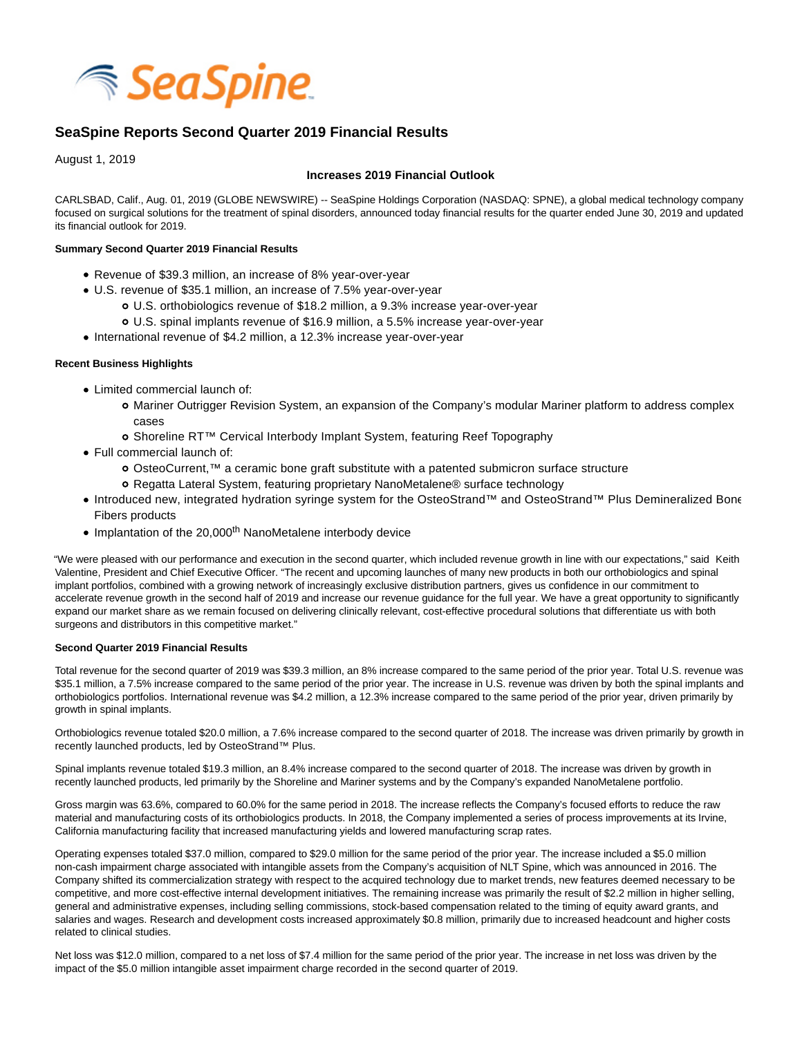

# **SeaSpine Reports Second Quarter 2019 Financial Results**

August 1, 2019

# **Increases 2019 Financial Outlook**

CARLSBAD, Calif., Aug. 01, 2019 (GLOBE NEWSWIRE) -- SeaSpine Holdings Corporation (NASDAQ: SPNE), a global medical technology company focused on surgical solutions for the treatment of spinal disorders, announced today financial results for the quarter ended June 30, 2019 and updated its financial outlook for 2019.

# **Summary Second Quarter 2019 Financial Results**

- Revenue of \$39.3 million, an increase of 8% year-over-year
- U.S. revenue of \$35.1 million, an increase of 7.5% year-over-year
	- U.S. orthobiologics revenue of \$18.2 million, a 9.3% increase year-over-year
	- U.S. spinal implants revenue of \$16.9 million, a 5.5% increase year-over-year
- International revenue of \$4.2 million, a 12.3% increase year-over-year

# **Recent Business Highlights**

- Limited commercial launch of:
	- Mariner Outrigger Revision System, an expansion of the Company's modular Mariner platform to address complex cases
	- Shoreline RT™ Cervical Interbody Implant System, featuring Reef Topography
- Full commercial launch of:
	- OsteoCurrent,™ a ceramic bone graft substitute with a patented submicron surface structure
	- Regatta Lateral System, featuring proprietary NanoMetalene® surface technology
- Introduced new, integrated hydration syringe system for the OsteoStrand™ and OsteoStrand™ Plus Demineralized Bone Fibers products
- $\bullet$  Implantation of the 20,000<sup>th</sup> NanoMetalene interbody device

"We were pleased with our performance and execution in the second quarter, which included revenue growth in line with our expectations," said Keith Valentine, President and Chief Executive Officer. "The recent and upcoming launches of many new products in both our orthobiologics and spinal implant portfolios, combined with a growing network of increasingly exclusive distribution partners, gives us confidence in our commitment to accelerate revenue growth in the second half of 2019 and increase our revenue guidance for the full year. We have a great opportunity to significantly expand our market share as we remain focused on delivering clinically relevant, cost-effective procedural solutions that differentiate us with both surgeons and distributors in this competitive market."

# **Second Quarter 2019 Financial Results**

Total revenue for the second quarter of 2019 was \$39.3 million, an 8% increase compared to the same period of the prior year. Total U.S. revenue was \$35.1 million, a 7.5% increase compared to the same period of the prior year. The increase in U.S. revenue was driven by both the spinal implants and orthobiologics portfolios. International revenue was \$4.2 million, a 12.3% increase compared to the same period of the prior year, driven primarily by growth in spinal implants.

Orthobiologics revenue totaled \$20.0 million, a 7.6% increase compared to the second quarter of 2018. The increase was driven primarily by growth in recently launched products, led by OsteoStrand™ Plus.

Spinal implants revenue totaled \$19.3 million, an 8.4% increase compared to the second quarter of 2018. The increase was driven by growth in recently launched products, led primarily by the Shoreline and Mariner systems and by the Company's expanded NanoMetalene portfolio.

Gross margin was 63.6%, compared to 60.0% for the same period in 2018. The increase reflects the Company's focused efforts to reduce the raw material and manufacturing costs of its orthobiologics products. In 2018, the Company implemented a series of process improvements at its Irvine, California manufacturing facility that increased manufacturing yields and lowered manufacturing scrap rates.

Operating expenses totaled \$37.0 million, compared to \$29.0 million for the same period of the prior year. The increase included a \$5.0 million non-cash impairment charge associated with intangible assets from the Company's acquisition of NLT Spine, which was announced in 2016. The Company shifted its commercialization strategy with respect to the acquired technology due to market trends, new features deemed necessary to be competitive, and more cost-effective internal development initiatives. The remaining increase was primarily the result of \$2.2 million in higher selling, general and administrative expenses, including selling commissions, stock-based compensation related to the timing of equity award grants, and salaries and wages. Research and development costs increased approximately \$0.8 million, primarily due to increased headcount and higher costs related to clinical studies.

Net loss was \$12.0 million, compared to a net loss of \$7.4 million for the same period of the prior year. The increase in net loss was driven by the impact of the \$5.0 million intangible asset impairment charge recorded in the second quarter of 2019.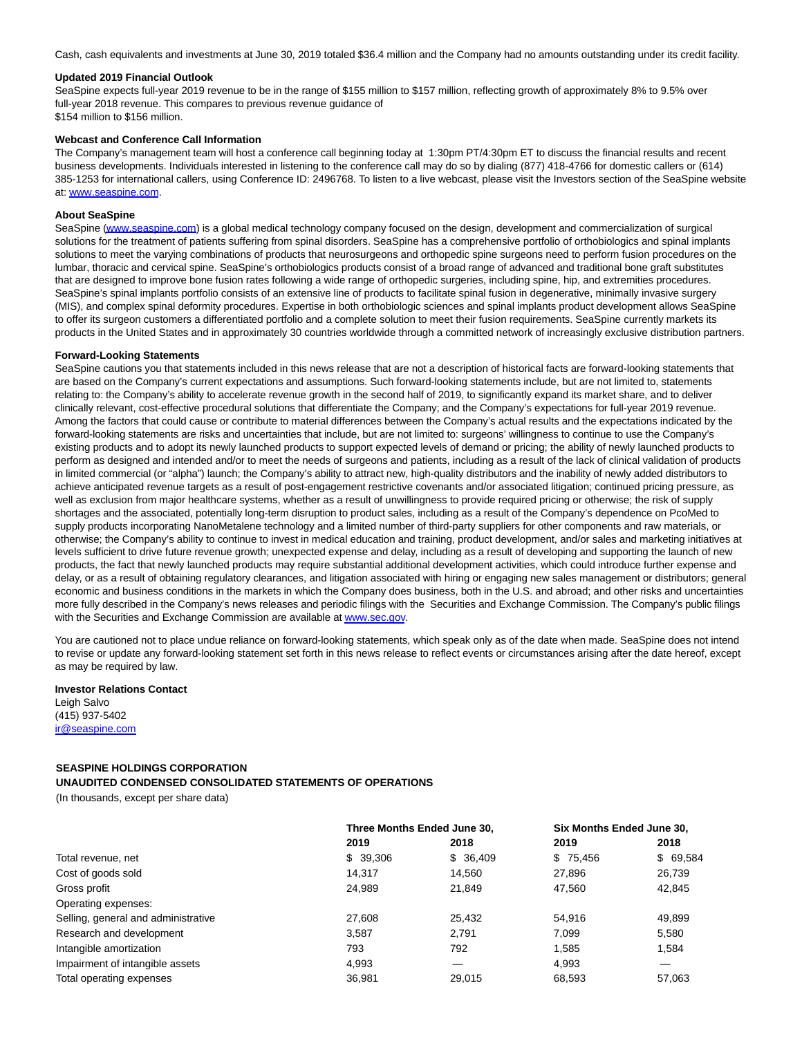Cash, cash equivalents and investments at June 30, 2019 totaled \$36.4 million and the Company had no amounts outstanding under its credit facility.

#### **Updated 2019 Financial Outlook**

SeaSpine expects full-year 2019 revenue to be in the range of \$155 million to \$157 million, reflecting growth of approximately 8% to 9.5% over full-year 2018 revenue. This compares to previous revenue guidance of \$154 million to \$156 million.

#### **Webcast and Conference Call Information**

The Company's management team will host a conference call beginning today at 1:30pm PT/4:30pm ET to discuss the financial results and recent business developments. Individuals interested in listening to the conference call may do so by dialing (877) 418-4766 for domestic callers or (614) 385-1253 for international callers, using Conference ID: 2496768. To listen to a live webcast, please visit the Investors section of the SeaSpine website at: [www.seaspine.com.](https://www.globenewswire.com/Tracker?data=eXpdeAFCzWMV3ScjE_w8rjG29KloiesgashK7oqdoJbIeQ67xnDbbf81hBsaCp-bxTlxT7dwPvUG8ch97yI4gQ==)

#### **About SeaSpine**

SeaSpine [\(www.seaspine.com\)](https://www.globenewswire.com/Tracker?data=eXpdeAFCzWMV3ScjE_w8rs6ZPzFkDaB5QLNM00iOPLQ3Re3ayTe9saMaj4_UF8lyj8gngcqXROO5w5vkv9udHw==) is a global medical technology company focused on the design, development and commercialization of surgical solutions for the treatment of patients suffering from spinal disorders. SeaSpine has a comprehensive portfolio of orthobiologics and spinal implants solutions to meet the varying combinations of products that neurosurgeons and orthopedic spine surgeons need to perform fusion procedures on the lumbar, thoracic and cervical spine. SeaSpine's orthobiologics products consist of a broad range of advanced and traditional bone graft substitutes that are designed to improve bone fusion rates following a wide range of orthopedic surgeries, including spine, hip, and extremities procedures. SeaSpine's spinal implants portfolio consists of an extensive line of products to facilitate spinal fusion in degenerative, minimally invasive surgery (MIS), and complex spinal deformity procedures. Expertise in both orthobiologic sciences and spinal implants product development allows SeaSpine to offer its surgeon customers a differentiated portfolio and a complete solution to meet their fusion requirements. SeaSpine currently markets its products in the United States and in approximately 30 countries worldwide through a committed network of increasingly exclusive distribution partners.

### **Forward-Looking Statements**

SeaSpine cautions you that statements included in this news release that are not a description of historical facts are forward-looking statements that are based on the Company's current expectations and assumptions. Such forward-looking statements include, but are not limited to, statements relating to: the Company's ability to accelerate revenue growth in the second half of 2019, to significantly expand its market share, and to deliver clinically relevant, cost-effective procedural solutions that differentiate the Company; and the Company's expectations for full-year 2019 revenue. Among the factors that could cause or contribute to material differences between the Company's actual results and the expectations indicated by the forward-looking statements are risks and uncertainties that include, but are not limited to: surgeons' willingness to continue to use the Company's existing products and to adopt its newly launched products to support expected levels of demand or pricing; the ability of newly launched products to perform as designed and intended and/or to meet the needs of surgeons and patients, including as a result of the lack of clinical validation of products in limited commercial (or "alpha") launch; the Company's ability to attract new, high-quality distributors and the inability of newly added distributors to achieve anticipated revenue targets as a result of post-engagement restrictive covenants and/or associated litigation; continued pricing pressure, as well as exclusion from major healthcare systems, whether as a result of unwillingness to provide required pricing or otherwise; the risk of supply shortages and the associated, potentially long-term disruption to product sales, including as a result of the Company's dependence on PcoMed to supply products incorporating NanoMetalene technology and a limited number of third-party suppliers for other components and raw materials, or otherwise; the Company's ability to continue to invest in medical education and training, product development, and/or sales and marketing initiatives at levels sufficient to drive future revenue growth; unexpected expense and delay, including as a result of developing and supporting the launch of new products, the fact that newly launched products may require substantial additional development activities, which could introduce further expense and delay, or as a result of obtaining regulatory clearances, and litigation associated with hiring or engaging new sales management or distributors; general economic and business conditions in the markets in which the Company does business, both in the U.S. and abroad; and other risks and uncertainties more fully described in the Company's news releases and periodic filings with the Securities and Exchange Commission. The Company's public filings with the Securities and Exchange Commission are available a[t www.sec.gov.](https://www.globenewswire.com/Tracker?data=eXpdeAFCzWMV3ScjE_w8rpfd1aPFc8L0Xn2zNitMFF0ritCW2hd7DYWio4_V12P7iqAKsa8xuApab73EF53Ksg==)

You are cautioned not to place undue reliance on forward-looking statements, which speak only as of the date when made. SeaSpine does not intend to revise or update any forward-looking statement set forth in this news release to reflect events or circumstances arising after the date hereof, except as may be required by law.

**Investor Relations Contact** Leigh Salvo (415) 937-5402 [ir@seaspine.com](https://www.globenewswire.com/Tracker?data=f4n6yZCnCB0GWLcsKpPls3dVV9d_bDqCHbVeB_v4DeygwJdo_P7KlDI292wJi9_vDEby9OYh-8JG2M1RRXKrdA==)

# **SEASPINE HOLDINGS CORPORATION UNAUDITED CONDENSED CONSOLIDATED STATEMENTS OF OPERATIONS**

(In thousands, except per share data)

|                                     | Three Months Ended June 30, |          | Six Months Ended June 30, |           |
|-------------------------------------|-----------------------------|----------|---------------------------|-----------|
|                                     | 2019                        | 2018     | 2019                      | 2018      |
| Total revenue, net                  | \$39,306                    | \$36,409 | \$75,456                  | \$ 69,584 |
| Cost of goods sold                  | 14.317                      | 14,560   | 27,896                    | 26,739    |
| Gross profit                        | 24,989                      | 21.849   | 47.560                    | 42,845    |
| Operating expenses:                 |                             |          |                           |           |
| Selling, general and administrative | 27,608                      | 25,432   | 54,916                    | 49,899    |
| Research and development            | 3,587                       | 2.791    | 7,099                     | 5,580     |
| Intangible amortization             | 793                         | 792      | 1,585                     | 1,584     |
| Impairment of intangible assets     | 4,993                       | –        | 4,993                     | –         |
| Total operating expenses            | 36.981                      | 29.015   | 68,593                    | 57.063    |